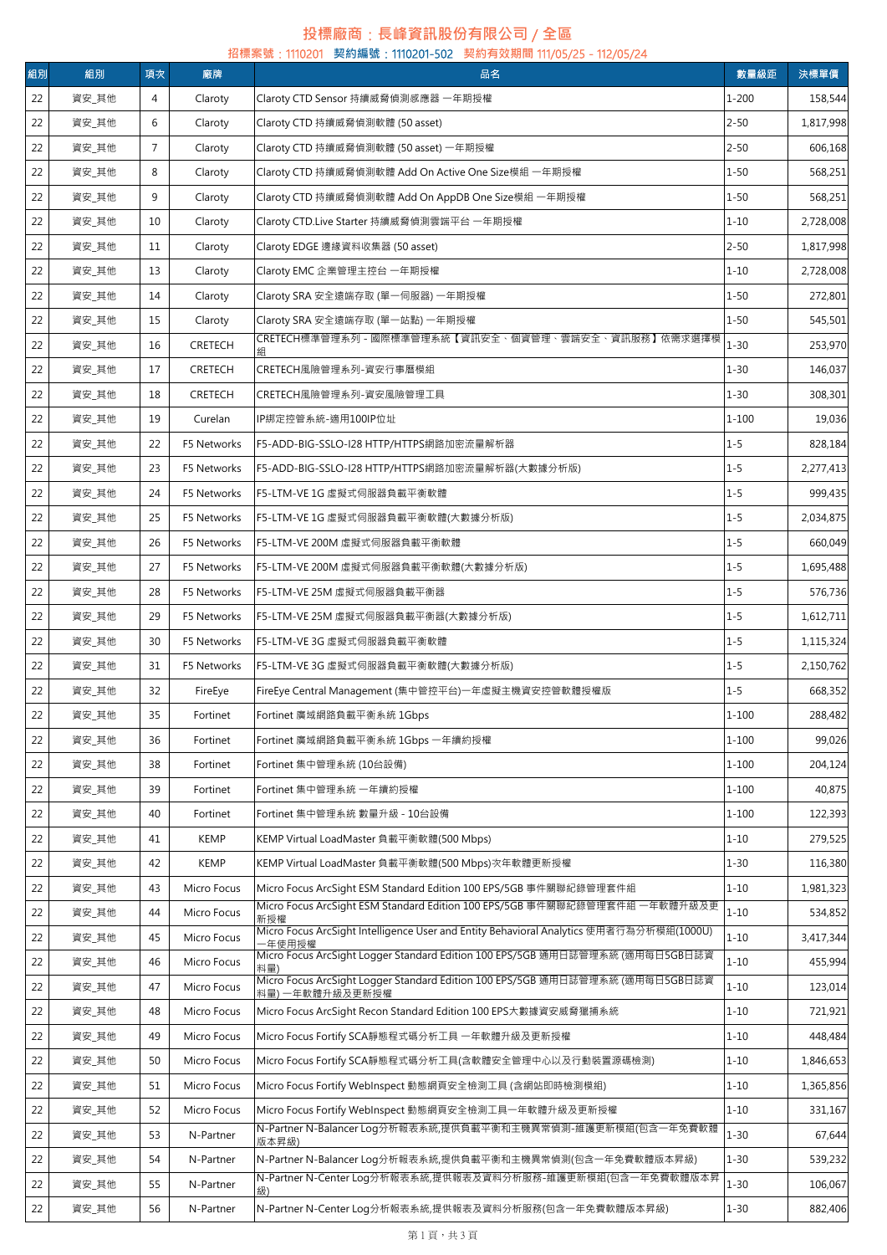## **投標廠商**:**長峰資訊股份有限公司** / **全區**

|    | 招標案號: 1110201 契約編號: 1110201-502 契約有效期間 111/05/25 - 112/05/24 |                |                |                                                                                                |           |           |  |  |  |  |
|----|--------------------------------------------------------------|----------------|----------------|------------------------------------------------------------------------------------------------|-----------|-----------|--|--|--|--|
| 組別 | 組別                                                           | 項次             | 廠牌             | 品名                                                                                             | 數量級距      | 決標單價      |  |  |  |  |
| 22 | 資安_其他                                                        | 4              | Claroty        | Claroty CTD Sensor 持續威脅偵測感應器 一年期授權                                                             | $1 - 200$ | 158,544   |  |  |  |  |
| 22 | 資安_其他                                                        | 6              | Claroty        | Claroty CTD 持續威脅偵測軟體 (50 asset)                                                                | $2 - 50$  | 1,817,998 |  |  |  |  |
| 22 | 資安_其他                                                        | $\overline{7}$ | Claroty        | Claroty CTD 持續威脅偵測軟體 (50 asset) 一年期授權                                                          | $2 - 50$  | 606,168   |  |  |  |  |
| 22 | 資安_其他                                                        | 8              | Claroty        | Claroty CTD 持續威脅偵測軟體 Add On Active One Size模組 一年期授權                                            | $1 - 50$  | 568,251   |  |  |  |  |
| 22 | 資安_其他                                                        | 9              | Claroty        | Claroty CTD 持續威脅偵測軟體 Add On AppDB One Size模組 一年期授權                                             | $1 - 50$  | 568,251   |  |  |  |  |
| 22 | 資安_其他                                                        | 10             | Claroty        | Claroty CTD.Live Starter 持續威脅偵測雲端平台 一年期授權                                                      | $1 - 10$  | 2,728,008 |  |  |  |  |
| 22 | 資安_其他                                                        | 11             | Claroty        | Claroty EDGE 邊緣資料收集器 (50 asset)                                                                | $2 - 50$  | 1,817,998 |  |  |  |  |
| 22 | 資安_其他                                                        | 13             | Claroty        | Claroty EMC 企業管理主控台 一年期授權                                                                      | $1 - 10$  | 2,728,008 |  |  |  |  |
| 22 | 資安_其他                                                        | 14             | Claroty        | Claroty SRA 安全遠端存取 (單一伺服器) 一年期授權                                                               | $1 - 50$  | 272,801   |  |  |  |  |
| 22 | 資安_其他                                                        | 15             | Claroty        | Claroty SRA 安全遠端存取 (單一站點) 一年期授權                                                                | $1 - 50$  | 545,501   |  |  |  |  |
| 22 | 資安_其他                                                        | 16             | <b>CRETECH</b> | CRETECH標準管理系列 - 國際標準管理系統【資訊安全、個資管理、雲端安全、資訊服務】依需求選擇模                                            | $1 - 30$  | 253,970   |  |  |  |  |
| 22 | 資安_其他                                                        | 17             | <b>CRETECH</b> | CRETECH風險管理系列-資安行事曆模組                                                                          | $1 - 30$  | 146,037   |  |  |  |  |
| 22 | 資安_其他                                                        | 18             | <b>CRETECH</b> | CRETECH風險管理系列-資安風險管理工具                                                                         | $1 - 30$  | 308,301   |  |  |  |  |
| 22 | 資安_其他                                                        | 19             | Curelan        | IP綁定控管系統-適用100IP位址                                                                             | $1 - 100$ | 19,036    |  |  |  |  |
| 22 | 資安_其他                                                        | 22             | F5 Networks    | F5-ADD-BIG-SSLO-I28 HTTP/HTTPS網路加密流量解析器                                                        | $1 - 5$   | 828,184   |  |  |  |  |
| 22 | 資安_其他                                                        | 23             | F5 Networks    | F5-ADD-BIG-SSLO-I28 HTTP/HTTPS網路加密流量解析器(大數據分析版)                                                | $1 - 5$   | 2,277,413 |  |  |  |  |
| 22 | 資安_其他                                                        | 24             | F5 Networks    | F5-LTM-VE 1G 虛擬式伺服器負載平衡軟體                                                                      | $1 - 5$   | 999,435   |  |  |  |  |
| 22 | 資安_其他                                                        | 25             | F5 Networks    | F5-LTM-VE 1G 虛擬式伺服器負載平衡軟體(大數據分析版)                                                              | $1 - 5$   | 2,034,875 |  |  |  |  |
| 22 | 資安_其他                                                        | 26             | F5 Networks    | F5-LTM-VE 200M 虛擬式伺服器負載平衡軟體                                                                    | $1 - 5$   | 660,049   |  |  |  |  |
| 22 | 資安_其他                                                        | 27             | F5 Networks    | F5-LTM-VE 200M 虛擬式伺服器負載平衡軟體(大數據分析版)                                                            | $1 - 5$   | 1,695,488 |  |  |  |  |
| 22 | 資安_其他                                                        | 28             | F5 Networks    | F5-LTM-VE 25M 虚擬式伺服器負載平衡器                                                                      | $1 - 5$   | 576,736   |  |  |  |  |
| 22 | 資安_其他                                                        | 29             | F5 Networks    | F5-LTM-VE 25M 虛擬式伺服器負載平衡器(大數據分析版)                                                              | $1 - 5$   | 1,612,711 |  |  |  |  |
| 22 | 資安_其他                                                        | 30             | F5 Networks    | F5-LTM-VE 3G 虛擬式伺服器負載平衡軟體                                                                      | $1 - 5$   | 1,115,324 |  |  |  |  |
| 22 | 資安_其他                                                        | 31             | F5 Networks    | F5-LTM-VE 3G 虛擬式伺服器負載平衡軟體(大數據分析版)                                                              | $1 - 5$   | 2,150,762 |  |  |  |  |
| 22 | 資安_其他                                                        | 32             | FireEye        | FireEye Central Management (集中管控平台)一年虛擬主機資安控管軟體授權版                                             | $1 - 5$   | 668,352   |  |  |  |  |
| 22 | 資安_其他                                                        | 35             | Fortinet       | Fortinet 廣域網路負載平衡系統 1Gbps                                                                      | 1-100     | 288,482   |  |  |  |  |
| 22 | 資安_其他                                                        | 36             | Fortinet       | Fortinet 廣域網路負載平衡系統 1Gbps 一年續約授權                                                               | $1 - 100$ | 99,026    |  |  |  |  |
| 22 | 資安_其他                                                        | 38             | Fortinet       | Fortinet 集中管理系統 (10台設備)                                                                        | $1 - 100$ | 204,124   |  |  |  |  |
| 22 | 資安_其他                                                        | 39             | Fortinet       | Fortinet 集中管理系統 一年續約授權                                                                         | $1 - 100$ | 40,875    |  |  |  |  |
| 22 | 資安_其他                                                        | 40             | Fortinet       | Fortinet 集中管理系統 數量升級 - 10台設備                                                                   | $1 - 100$ | 122,393   |  |  |  |  |
| 22 | 資安_其他                                                        | 41             | KEMP           | KEMP Virtual LoadMaster 負載平衡軟體(500 Mbps)                                                       | $1 - 10$  | 279,525   |  |  |  |  |
| 22 | 資安_其他                                                        | 42             | <b>KEMP</b>    | KEMP Virtual LoadMaster 負載平衡軟體(500 Mbps)次年軟體更新授權                                               | $1 - 30$  | 116,380   |  |  |  |  |
| 22 | 資安_其他                                                        | 43             | Micro Focus    | Micro Focus ArcSight ESM Standard Edition 100 EPS/5GB 事件關聯紀錄管理套件組                              | $1 - 10$  | 1,981,323 |  |  |  |  |
| 22 | 資安_其他                                                        | 44             | Micro Focus    | Micro Focus ArcSight ESM Standard Edition 100 EPS/5GB 事件關聯紀錄管理套件組 一年軟體升級及更<br>新授權              | $1 - 10$  | 534,852   |  |  |  |  |
| 22 | 資安_其他                                                        | 45             | Micro Focus    | Micro Focus ArcSight Intelligence User and Entity Behavioral Analytics 使用者行為分析模組(1000U)        | $1 - 10$  | 3,417,344 |  |  |  |  |
| 22 | 資安_其他                                                        | 46             | Micro Focus    | -年使用授權<br>Micro Focus ArcSight Logger Standard Edition 100 EPS/5GB 通用日誌管理系統 (適用每日5GB日誌資<br>料量) | $1 - 10$  | 455,994   |  |  |  |  |
| 22 | 資安_其他                                                        | 47             | Micro Focus    | Micro Focus ArcSight Logger Standard Edition 100 EPS/5GB 通用日誌管理系統 (適用每日5GB日誌資                  | $1 - 10$  | 123,014   |  |  |  |  |
| 22 | 資安_其他                                                        | 48             | Micro Focus    | 料量) 一年軟體升級及更新授權<br>Micro Focus ArcSight Recon Standard Edition 100 EPS大數據資安威脅獵捕系統              | $1 - 10$  | 721,921   |  |  |  |  |
| 22 | 資安_其他                                                        | 49             | Micro Focus    | Micro Focus Fortify SCA靜態程式碼分析工具 一年軟體升級及更新授權                                                   | $1 - 10$  | 448,484   |  |  |  |  |
| 22 | 資安_其他                                                        | 50             | Micro Focus    | Micro Focus Fortify SCA靜態程式碼分析工具(含軟體安全管理中心以及行動裝置源碼檢測)                                          | $1 - 10$  | 1,846,653 |  |  |  |  |
| 22 | 資安_其他                                                        | 51             | Micro Focus    | Micro Focus Fortify WebInspect 動態網頁安全檢測工具 (含網站即時檢測模組)                                          | $1 - 10$  | 1,365,856 |  |  |  |  |
| 22 | 資安_其他                                                        | 52             | Micro Focus    | Micro Focus Fortify WebInspect 動態網頁安全檢測工具一年軟體升級及更新授權                                           | $1 - 10$  | 331,167   |  |  |  |  |
| 22 | 資安_其他                                                        | 53             | N-Partner      | N-Partner N-Balancer Log分析報表系統,提供負載平衡和主機異常偵測-維護更新模組(包含一年免費軟體                                   | $1 - 30$  | 67,644    |  |  |  |  |
| 22 | 資安_其他                                                        | 54             | N-Partner      | 版本昇級)<br>N-Partner N-Balancer Log分析報表系統,提供負載平衡和主機異常偵測(包含一年免費軟體版本昇級)                            | $1 - 30$  | 539,232   |  |  |  |  |
| 22 | 資安_其他                                                        | 55             | N-Partner      | N-Partner N-Center Log分析報表系統,提供報表及資料分析服務-維護更新模組(包含一年免費軟體版本昇                                    | $1 - 30$  | 106,067   |  |  |  |  |
|    |                                                              |                |                |                                                                                                |           |           |  |  |  |  |
| 22 | 資安_其他                                                        | 56             | N-Partner      | N-Partner N-Center Log分析報表系統,提供報表及資料分析服務(包含一年免費軟體版本昇級)                                         | $1 - 30$  | 882,406   |  |  |  |  |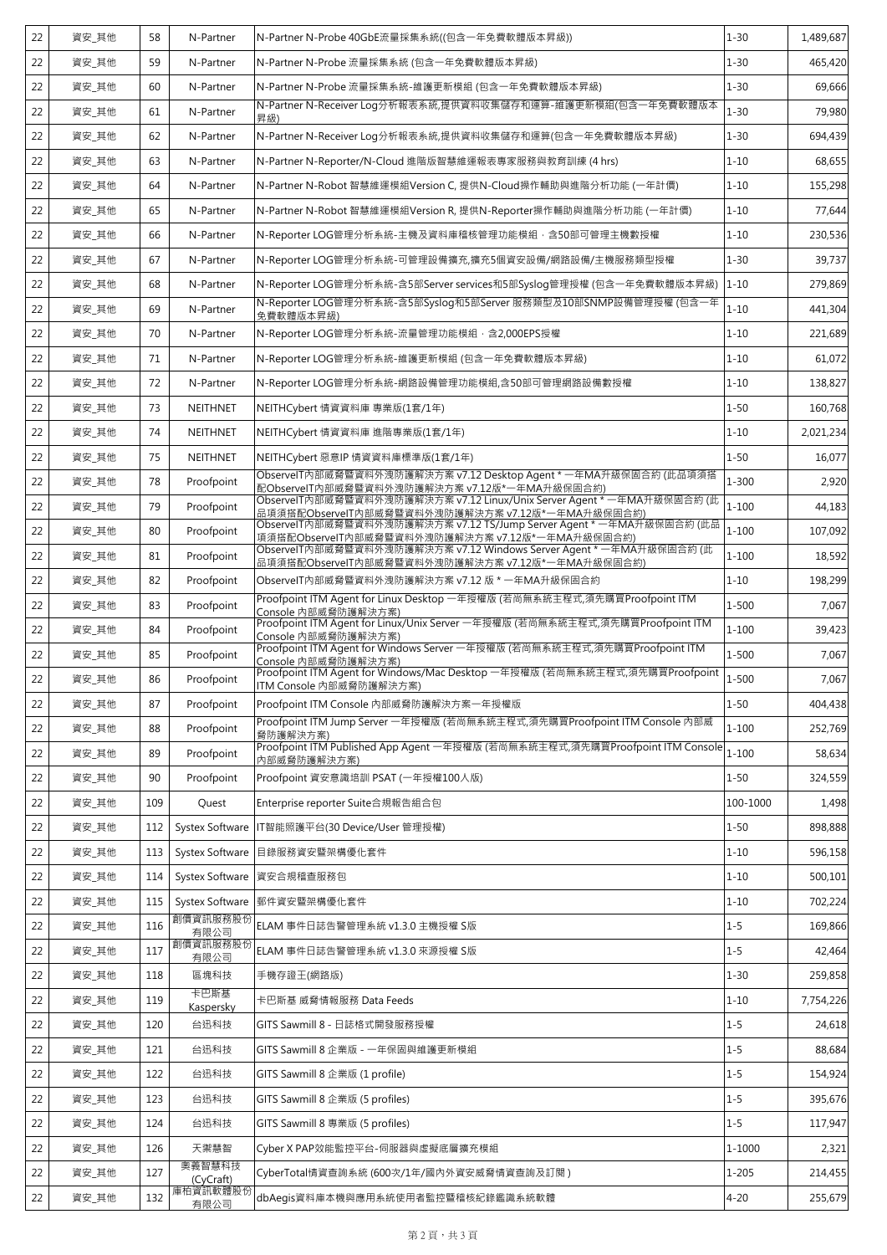| 22 | 資安_其他 | 58  | N-Partner              | N-Partner N-Probe 40GbE流量採集系統((包含一年免費軟體版本昇級))                                                                                                                                                     | $1 - 30$   | 1.489.687 |
|----|-------|-----|------------------------|---------------------------------------------------------------------------------------------------------------------------------------------------------------------------------------------------|------------|-----------|
| 22 | 資安 其他 | 59  | N-Partner              | N-Partner N-Probe 流量採集系統 (包含一年免費軟體版本昇級)                                                                                                                                                           | $1 - 30$   | 465,420   |
| 22 | 資安_其他 | 60  | N-Partner              | N-Partner N-Probe 流量採集系統-維護更新模組 (包含一年免費軟體版本昇級)                                                                                                                                                    | $1 - 30$   | 69,666    |
| 22 | 資安 其他 | 61  | N-Partner              | N-Partner N-Receiver Log分析報表系統,提供資料收集儲存和運算-維護更新模組(包含一年免費軟體版本<br>昇級)                                                                                                                               | $1 - 30$   | 79,980    |
| 22 | 資安_其他 | 62  | N-Partner              | N-Partner N-Receiver Log分析報表系統,提供資料收集儲存和運算(包含一年免費軟體版本昇級)                                                                                                                                          | $1 - 30$   | 694,439   |
| 22 | 資安_其他 | 63  | N-Partner              | N-Partner N-Reporter/N-Cloud 進階版智慧維運報表專家服務與教育訓練 (4 hrs)                                                                                                                                           | $1 - 10$   | 68,655    |
| 22 | 資安_其他 | 64  | N-Partner              | N-Partner N-Robot 智慧維運模組Version C, 提供N-Cloud操作輔助與進階分析功能 (一年計價)                                                                                                                                    | $1 - 10$   | 155,298   |
| 22 | 資安_其他 | 65  | N-Partner              | N-Partner N-Robot 智慧維運模組Version R, 提供N-Reporter操作輔助與進階分析功能 (一年計價)                                                                                                                                 | $1 - 10$   | 77,644    |
| 22 | 資安_其他 | 66  | N-Partner              | N-Reporter LOG管理分析系統-主機及資料庫稽核管理功能模組,含50部可管理主機數授權                                                                                                                                                  | $1 - 10$   | 230,536   |
| 22 | 資安_其他 | 67  | N-Partner              | N-Reporter LOG管理分析系統-可管理設備擴充,擴充5個資安設備/網路設備/主機服務類型授權                                                                                                                                               | $1 - 30$   | 39,737    |
| 22 | 資安_其他 | 68  | N-Partner              | N-Reporter LOG管理分析系統-含5部Server services和5部Syslog管理授權 (包含一年免費軟體版本昇級)                                                                                                                               | $1 - 10$   | 279,869   |
| 22 | 資安_其他 | 69  | N-Partner              | .<br>N-Reporter LOG管理分析系統-含5部Syslog和5部Server 服務類型及10部SNMP設備管理授權 (包含一年<br>免費軟體版本昇級)                                                                                                                | $1 - 10$   | 441,304   |
| 22 | 資安_其他 | 70  | N-Partner              | N-Reporter LOG管理分析系統-流量管理功能模組, 含2,000EPS授權                                                                                                                                                        | $1 - 10$   | 221,689   |
| 22 | 資安_其他 | 71  | N-Partner              | N-Reporter LOG管理分析系統-維護更新模組 (包含一年免費軟體版本昇級)                                                                                                                                                        | $1 - 10$   | 61,072    |
| 22 | 資安_其他 | 72  | N-Partner              | N-Reporter LOG管理分析系統-網路設備管理功能模組,含50部可管理網路設備數授權                                                                                                                                                    | $1 - 10$   | 138,827   |
| 22 | 資安_其他 | 73  | <b>NEITHNET</b>        | NEITHCybert 情資資料庫 專業版(1套/1年)                                                                                                                                                                      | $1 - 50$   | 160,768   |
| 22 | 資安_其他 | 74  | <b>NEITHNET</b>        | NEITHCybert 情資資料庫 進階專業版(1套/1年)                                                                                                                                                                    | $1 - 10$   | 2,021,234 |
| 22 | 資安_其他 | 75  | <b>NEITHNET</b>        | NEITHCybert 惡意IP 情資資料庫標準版(1套/1年)                                                                                                                                                                  | $1 - 50$   | 16,077    |
| 22 | 資安_其他 | 78  | Proofpoint             | ObservelT内部威脅暨資料外洩防護解決方案 v7.12 Desktop Agent * 一年MA升級保固合約 (此品項須搭<br><u>配ObservelT内部威脅暨資料外洩防護解決方案 v7.12版*一年MA升級保固合約)</u><br>ObservelT内部威脅暨資料外洩防護解決方案 v7.12 Linux/Unix Server Agent * 一年MA升級保固合約 (此 | $1 - 300$  | 2,920     |
| 22 | 資安_其他 | 79  | Proofpoint             | 品項須搭配ObservelT内部威脅暨資料外洩防護解決方案 v7.12版*一年MA升級保固合約)                                                                                                                                                  | $1 - 100$  | 44,183    |
| 22 | 資安_其他 | 80  | Proofpoint             | <u>項須搭配ObservelT内部威脅暨資料外洩防護解決方案 v7.12版*一年MA升級保固合約)</u><br>ObservelT内部威脅暨資料外洩防護解決方案 v7.12 Windows Server Agent * 一年MA升級保固合約 (此                                                                     | $1 - 100$  | 107,092   |
| 22 | 資安_其他 | 81  | Proofpoint             | 品項須搭配ObservelT內部威脅暨資料外洩防護解決方案 v7.12版*一年MA升級保固合約)                                                                                                                                                  | $1 - 100$  | 18,592    |
| 22 | 資安_其他 | 82  | Proofpoint             | ObservelT内部威脅暨資料外洩防護解決方案 v7.12 版 * 一年MA升級保固合約                                                                                                                                                     | $1 - 10$   | 198,299   |
| 22 | 資安_其他 | 83  | Proofpoint             | Proofpoint ITM Agent for Linux Desktop 一年授權版 (若尚無系統主程式,須先購買Proofpoint ITM<br>Console 内部威脅防護解決方案)                                                                                                  | $1 - 500$  | 7,067     |
| 22 | 資安_其他 | 84  | Proofpoint             | Proofpoint ITM Agent for Linux/Unix Server 一年授權版 (若尚無系統主程式,須先購買Proofpoint ITM<br>Console 内部威脅防護解決方案)                                                                                              | $1 - 100$  | 39,423    |
| 22 | 資安 其他 | 85  | Proofpoint             | Proofpoint ITM Agent for Windows Server 一年授權版 (若尚無系統主程式,須先購買Proofpoint ITM<br>Console 内部威脅防護解決方案)                                                                                                 | $1 - 500$  | 7,067     |
| 22 | 資安_其他 | 86  | Proofpoint             | Proofpoint ITM Agent for Windows/Mac Desktop 一年授權版 (若尚無系統主程式,須先購買Proofpoint<br>ITM Console 内部威脅防護解決方案)                                                                                            | $1 - 500$  | 7,067     |
| 22 | 資安_其他 | 87  | Proofpoint             | Proofpoint ITM Console 内部威脅防護解決方案一年授權版                                                                                                                                                            | $1 - 50$   | 404,438   |
| 22 | 資安_其他 | 88  | Proofpoint             | Proofpoint ITM Jump Server 一年授權版 (若尚無系統主程式,須先購買Proofpoint ITM Console 內部威<br>脅防護解決方案)                                                                                                             | $1 - 100$  | 252,769   |
| 22 | 資安_其他 | 89  | Proofpoint             | Proofpoint ITM Published App Agent 一年授權版 (若尚無系統主程式,須先購買Proofpoint ITM Console<br>內部威脅防護解決方案)                                                                                                      | $1 - 100$  | 58,634    |
| 22 | 資安_其他 | 90  | Proofpoint             | Proofpoint 資安意識培訓 PSAT (一年授權100人版)                                                                                                                                                                | $1 - 50$   | 324,559   |
| 22 | 資安_其他 | 109 | Quest                  | Enterprise reporter Suite合規報告組合包                                                                                                                                                                  | 100-1000   | 1,498     |
| 22 | 資安_其他 | 112 | Systex Software        | IT智能照護平台(30 Device/User 管理授權)                                                                                                                                                                     | $1 - 50$   | 898,888   |
| 22 | 資安_其他 | 113 | Systex Software        | 目錄服務資安暨架構優化套件                                                                                                                                                                                     | $1 - 10$   | 596,158   |
| 22 | 資安_其他 | 114 | <b>Systex Software</b> | 資安合規稽查服務包                                                                                                                                                                                         | $1 - 10$   | 500,101   |
| 22 | 資安_其他 | 115 | Systex Software        | 郵件資安暨架構優化套件                                                                                                                                                                                       | $1 - 10$   | 702,224   |
| 22 | 資安_其他 | 116 | 創價資訊服務股份<br>有限公司       | ELAM 事件日誌告警管理系統 v1.3.0 主機授權 S版                                                                                                                                                                    | $1 - 5$    | 169,866   |
| 22 | 資安_其他 | 117 | 創價資訊服務股份<br>有限公司       | ELAM 事件日誌告警管理系統 v1.3.0 來源授權 S版                                                                                                                                                                    | $1 - 5$    | 42,464    |
| 22 | 資安_其他 | 118 | 區塊科技                   | 手機存證王(網路版)                                                                                                                                                                                        | $1 - 30$   | 259,858   |
| 22 | 資安_其他 | 119 | 卡巴斯基<br>Kaspersky      | 卡巴斯基 威脅情報服務 Data Feeds                                                                                                                                                                            | $1 - 10$   | 7,754,226 |
| 22 | 資安_其他 | 120 | 台迅科技                   | GITS Sawmill 8 - 日誌格式開發服務授權                                                                                                                                                                       | $1 - 5$    | 24,618    |
| 22 | 資安_其他 | 121 | 台迅科技                   | GITS Sawmill 8 企業版 - 一年保固與維護更新模組                                                                                                                                                                  | $1 - 5$    | 88,684    |
| 22 | 資安_其他 | 122 | 台迅科技                   | GITS Sawmill 8 企業版 (1 profile)                                                                                                                                                                    | $1 - 5$    | 154,924   |
| 22 | 資安_其他 | 123 | 台迅科技                   | GITS Sawmill 8 企業版 (5 profiles)                                                                                                                                                                   | $1 - 5$    | 395,676   |
| 22 | 資安_其他 | 124 | 台迅科技                   | GITS Sawmill 8 專業版 (5 profiles)                                                                                                                                                                   | $1 - 5$    | 117,947   |
| 22 | 資安_其他 | 126 | 天禦慧智                   | Cyber X PAP效能監控平台-伺服器與虛擬底層擴充模組                                                                                                                                                                    | $1 - 1000$ | 2,321     |
| 22 | 資安_其他 | 127 | 奧義智慧科技<br>(CyCraft)    | CyberTotal情資查詢系統 (600次/1年/國內外資安威脅情資查詢及訂閱 )                                                                                                                                                        | $1 - 205$  | 214,455   |
| 22 | 資安_其他 | 132 | 庫柏資訊軟體股份<br>有限公司       | dbAegis資料庫本機與應用系統使用者監控暨稽核紀錄鑑識系統軟體                                                                                                                                                                 | $4 - 20$   | 255,679   |